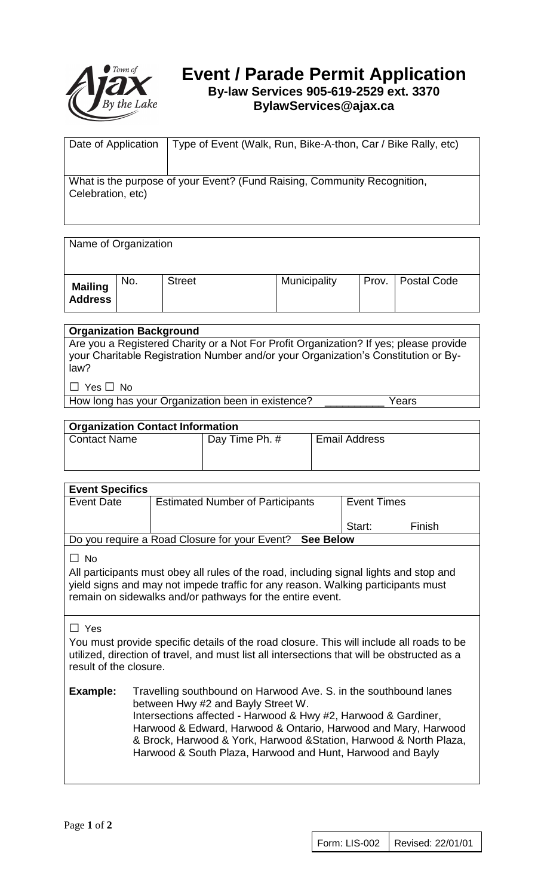

# **Event / Parade Permit Application By-law Services 905-619-2529 ext. 3370**

## **BylawServices@ajax.ca**

| Date of Application                                                                           | Type of Event (Walk, Run, Bike-A-thon, Car / Bike Rally, etc) |  |  |  |
|-----------------------------------------------------------------------------------------------|---------------------------------------------------------------|--|--|--|
|                                                                                               |                                                               |  |  |  |
| What is the purpose of your Event? (Fund Raising, Community Recognition,<br>Celebration, etc) |                                                               |  |  |  |

#### Name of Organization

| <b>Mailing</b><br>Address | No. | <b>Street</b> | Municipality | Prov.   Postal Code |
|---------------------------|-----|---------------|--------------|---------------------|

#### **Organization Background**

Are you a Registered Charity or a Not For Profit Organization? If yes; please provide your Charitable Registration Number and/or your Organization's Constitution or Bylaw?

□ Yes □ No

How long has your Organization been in existence? \_\_\_\_\_\_\_\_\_\_\_\_\_ Years

#### **Organization Contact Information**

| $\sim$ rgamzation contact mormation |                |                      |  |  |  |  |
|-------------------------------------|----------------|----------------------|--|--|--|--|
| <b>Contact Name</b>                 | Day Time Ph. # | <b>Email Address</b> |  |  |  |  |
|                                     |                |                      |  |  |  |  |

| <b>Event Specifics</b>                                  |                                         |  |                    |        |  |  |  |
|---------------------------------------------------------|-----------------------------------------|--|--------------------|--------|--|--|--|
| <b>Event Date</b>                                       | <b>Estimated Number of Participants</b> |  | <b>Event Times</b> |        |  |  |  |
|                                                         |                                         |  | Start:             | Finish |  |  |  |
| Do you require a Road Closure for your Event? See Below |                                         |  |                    |        |  |  |  |
| - No                                                    |                                         |  |                    |        |  |  |  |

All participants must obey all rules of the road, including signal lights and stop and yield signs and may not impede traffic for any reason. Walking participants must remain on sidewalks and/or pathways for the entire event.

### □ Yes

You must provide specific details of the road closure. This will include all roads to be utilized, direction of travel, and must list all intersections that will be obstructed as a result of the closure.

**Example:** Travelling southbound on Harwood Ave. S. in the southbound lanes between Hwy #2 and Bayly Street W. Intersections affected - Harwood & Hwy #2, Harwood & Gardiner, Harwood & Edward, Harwood & Ontario, Harwood and Mary, Harwood & Brock, Harwood & York, Harwood &Station, Harwood & North Plaza, Harwood & South Plaza, Harwood and Hunt, Harwood and Bayly